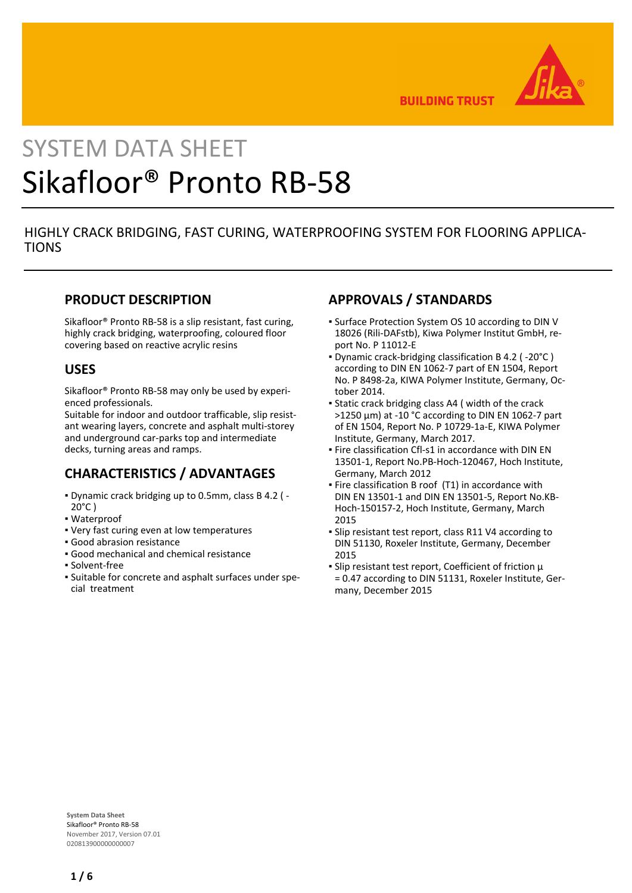

**BUILDING TRUST** 

# SYSTEM DATA SHEET Sikafloor® Pronto RB-58

## HIGHLY CRACK BRIDGING, FAST CURING, WATERPROOFING SYSTEM FOR FLOORING APPLICA-**TIONS**

## **PRODUCT DESCRIPTION**

Sikafloor® Pronto RB-58 is a slip resistant, fast curing, highly crack bridging, waterproofing, coloured floor covering based on reactive acrylic resins

## **USES**

Sikafloor® Pronto RB-58 may only be used by experienced professionals.

Suitable for indoor and outdoor trafficable, slip resistant wearing layers, concrete and asphalt multi-storey and underground car-parks top and intermediate decks, turning areas and ramps.

## **CHARACTERISTICS / ADVANTAGES**

- Dynamic crack bridging up to 0.5mm, class B 4.2 ( ▪  $20^{\circ}$ C)
- Waterproof
- Very fast curing even at low temperatures
- Good abrasion resistance
- Good mechanical and chemical resistance
- Solvent-free
- Suitable for concrete and asphalt surfaces under spe-▪ cial treatment

# **APPROVALS / STANDARDS**

- **Surface Protection System OS 10 according to DIN V** 18026 (Rili-DAFstb), Kiwa Polymer Institut GmbH, report No. P 11012-E
- Dynamic crack-bridging classification B 4.2 ( -20°C ) according to DIN EN 1062-7 part of EN 1504, Report No. P 8498-2a, KIWA Polymer Institute, Germany, October 2014.
- Static crack bridging class A4 ( width of the crack >1250 μm) at -10 °C according to DIN EN 1062-7 part of EN 1504, Report No. P 10729-1a-E, KIWA Polymer Institute, Germany, March 2017.
- **Fire classification Cfl-s1 in accordance with DIN EN** 13501-1, Report No.PB-Hoch-120467, Hoch Institute, Germany, March 2012
- **Fire classification B roof (T1) in accordance with** DIN EN 13501-1 and DIN EN 13501-5, Report No.KB-Hoch-150157-2, Hoch Institute, Germany, March 2015
- **Slip resistant test report, class R11 V4 according to** DIN 51130, Roxeler Institute, Germany, December 2015
- Slip resistant test report, Coefficient of friction μ = 0.47 according to DIN 51131, Roxeler Institute, Germany, December 2015

**System Data Sheet** Sikafloor® Pronto RB-58 November 2017, Version 07.01 020813900000000007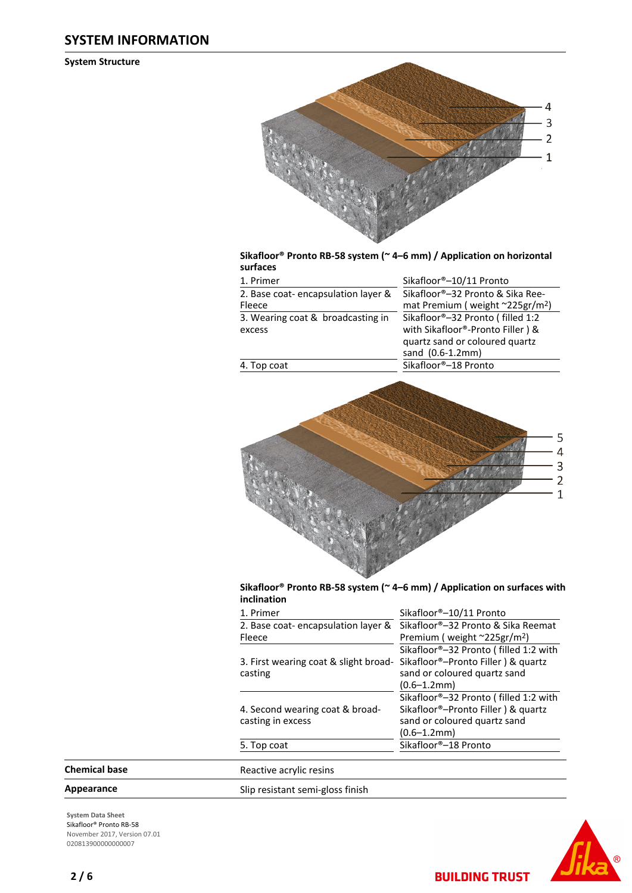## **SYSTEM INFORMATION**

**System Structure**



#### **Sikafloor® Pronto RB-58 system (~ 4–6 mm) / Application on horizontal surfaces**

| 1. Primer                          | Sikafloor®-10/11 Pronto                     |
|------------------------------------|---------------------------------------------|
| 2. Base coat-encapsulation layer & | Sikafloor®-32 Pronto & Sika Ree-            |
| Fleece                             | mat Premium (weight ~225gr/m <sup>2</sup> ) |
| 3. Wearing coat & broadcasting in  | Sikafloor®-32 Pronto (filled 1:2            |
| excess                             | with Sikafloor®-Pronto Filler) &            |
|                                    | quartz sand or coloured quartz              |
|                                    | sand (0.6-1.2mm)                            |
| 4. Top coat                        | Sikafloor®-18 Pronto                        |
|                                    |                                             |



#### **Sikafloor® Pronto RB-58 system (~ 4–6 mm) / Application on surfaces with inclination**

| 1. Primer                             | Sikafloor®-10/11 Pronto                          |
|---------------------------------------|--------------------------------------------------|
| 2. Base coat-encapsulation layer &    | Sikafloor®-32 Pronto & Sika Reemat               |
| Fleece                                | Premium (weight $\approx$ 225gr/m <sup>2</sup> ) |
|                                       | Sikafloor®-32 Pronto (filled 1:2 with            |
| 3. First wearing coat & slight broad- | Sikafloor®-Pronto Filler) & quartz               |
| casting                               | sand or coloured quartz sand                     |
|                                       | $(0.6 - 1.2$ mm $)$                              |
|                                       | Sikafloor®-32 Pronto (filled 1:2 with            |
| 4. Second wearing coat & broad-       | Sikafloor <sup>®</sup> -Pronto Filler) & quartz  |
| casting in excess                     | sand or coloured quartz sand                     |
|                                       | $(0.6 - 1.2$ mm $)$                              |
| 5. Top coat                           | Sikafloor®-18 Pronto                             |
|                                       |                                                  |
| Reactive acrylic resins               |                                                  |

# **Chemical base**

Appearance Slip resistant semi-gloss finish

**System Data Sheet** Sikafloor® Pronto RB-58 November 2017, Version 07.01 020813900000000007



**BUILDING TRUST**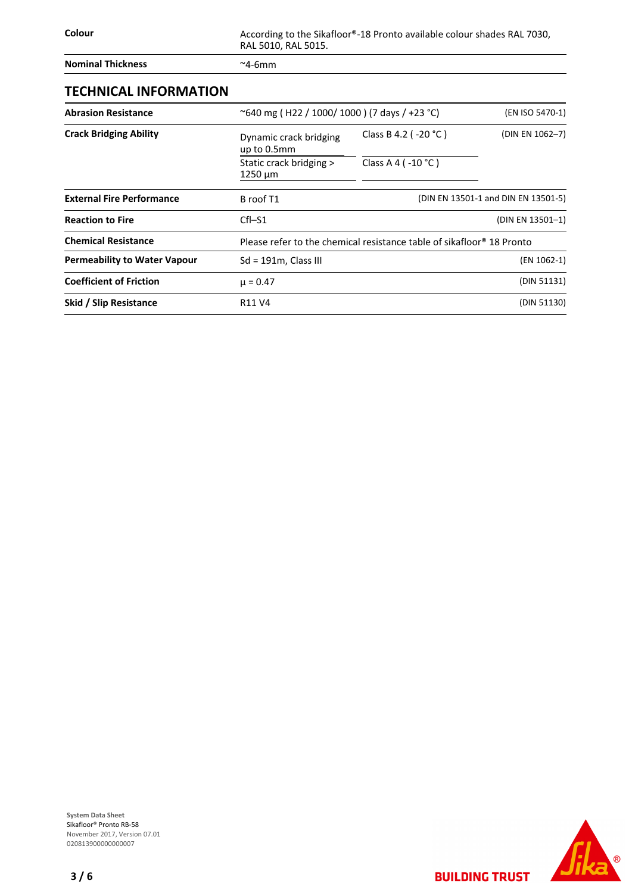**Colour** Colour According to the Sikafloor®-18 Pronto available colour shades RAL 7030, RAL 5010, RAL 5015.

**Nominal Thickness** ~4-6mm

# **TECHNICAL INFORMATION**

| <b>Abrasion Resistance</b>          | ~640 mg (H22 / 1000/1000) (7 days / +23 °C) |                                                                                   |                                     |  | (EN ISO 5470-1) |
|-------------------------------------|---------------------------------------------|-----------------------------------------------------------------------------------|-------------------------------------|--|-----------------|
| <b>Crack Bridging Ability</b>       | Dynamic crack bridging<br>up to 0.5mm       | Class B 4.2 ( $-20$ °C)                                                           | (DIN EN 1062-7)                     |  |                 |
|                                     | Static crack bridging ><br>$1250 \mu m$     | Class A 4 ( $-10$ °C)                                                             |                                     |  |                 |
| <b>External Fire Performance</b>    | B roof T1                                   |                                                                                   | (DIN EN 13501-1 and DIN EN 13501-5) |  |                 |
| <b>Reaction to Fire</b>             | $Cfl-S1$                                    |                                                                                   | (DIN EN 13501-1)                    |  |                 |
| <b>Chemical Resistance</b>          |                                             | Please refer to the chemical resistance table of sikafloor <sup>®</sup> 18 Pronto |                                     |  |                 |
| <b>Permeability to Water Vapour</b> | $Sd = 191m$ , Class III                     |                                                                                   | (EN 1062-1)                         |  |                 |
| <b>Coefficient of Friction</b>      | $\mu = 0.47$                                |                                                                                   | (DIN 51131)                         |  |                 |
| Skid / Slip Resistance              | R <sub>11</sub> V <sub>4</sub>              |                                                                                   | (DIN 51130)                         |  |                 |

**System Data Sheet** Sikafloor® Pronto RB-58 November 2017, Version 07.01 0208139000000000007

 $\circledR$ 

Jik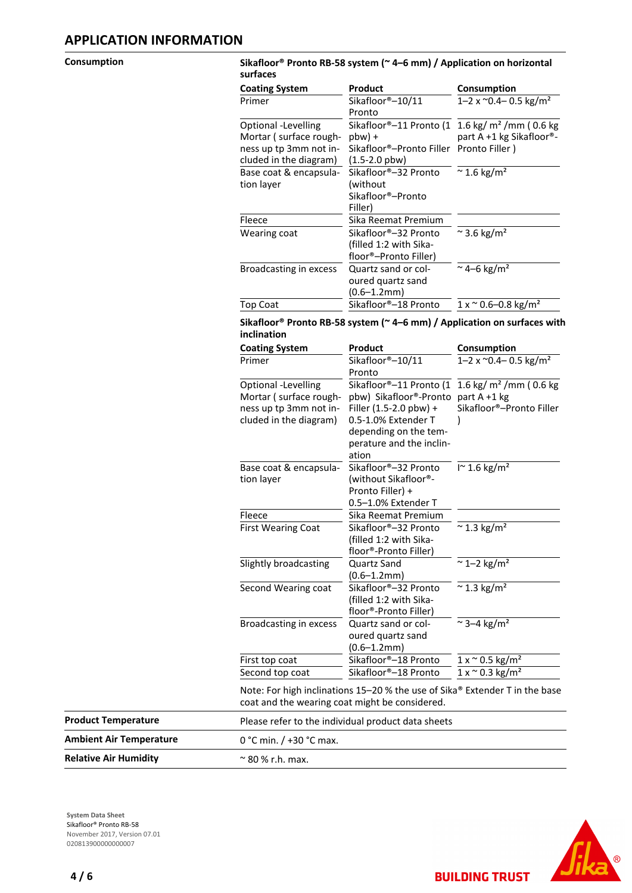#### **Consumption Sikafloor® Pronto RB-58 system (~ 4–6 mm) / Application on horizontal surfaces**

| <b>Coating System</b>  | Product                                 | Consumption                                 |
|------------------------|-----------------------------------------|---------------------------------------------|
| Primer                 | Sikafloor®-10/11                        | 1–2 x $^{\circ}$ 0.4– 0.5 kg/m <sup>2</sup> |
|                        | Pronto                                  |                                             |
| Optional -Levelling    | Sikafloor®-11 Pronto (1                 | 1.6 kg/ $m2$ /mm (0.6 kg                    |
| Mortar (surface rough- | $pbw$ ) +                               | part A +1 kg Sikafloor®-                    |
| ness up tp 3mm not in- | Sikafloor®-Pronto Filler Pronto Filler) |                                             |
| cluded in the diagram) | $(1.5-2.0 \text{ pbw})$                 |                                             |
| Base coat & encapsula- | Sikafloor®-32 Pronto                    | $\approx$ 1.6 kg/m <sup>2</sup>             |
| tion layer             | (without                                |                                             |
|                        | Sikafloor®-Pronto                       |                                             |
|                        | Filler)                                 |                                             |
| Fleece                 | Sika Reemat Premium                     |                                             |
| Wearing coat           | Sikafloor®–32 Pronto                    | $\approx$ 3.6 kg/m <sup>2</sup>             |
|                        | (filled 1:2 with Sika-                  |                                             |
|                        | floor®-Pronto Filler)                   |                                             |
| Broadcasting in excess | Quartz sand or col-                     | $~\sim$ 4–6 kg/m <sup>2</sup>               |
|                        | oured quartz sand                       |                                             |
|                        | (0.6–1.2mm)                             |                                             |
| <b>Top Coat</b>        | Sikafloor®–18 Pronto                    | $1 x \approx 0.6 - 0.8$ kg/m <sup>2</sup>   |
|                        |                                         |                                             |

#### **Sikafloor® Pronto RB-58 system (~ 4–6 mm) / Application on surfaces with inclination**

| <b>Coating System</b>     | Product                                                                                                | Consumption                                |
|---------------------------|--------------------------------------------------------------------------------------------------------|--------------------------------------------|
| Primer                    | Sikafloor®-10/11<br>Pronto                                                                             | 1-2 x $^{\circ}$ 0.4-0.5 kg/m <sup>2</sup> |
| Optional -Levelling       | Sikafloor®-11 Pronto (1                                                                                | 1.6 kg/ $m2$ /mm (0.6 kg                   |
| Mortar (surface rough-    | pbw) Sikafloor®-Pronto                                                                                 | part $A + 1$ kg                            |
| ness up tp 3mm not in-    | Filler $(1.5-2.0 \text{ pbw}) +$                                                                       | Sikafloor®-Pronto Filler                   |
| cluded in the diagram)    | 0.5-1.0% Extender T                                                                                    |                                            |
|                           | depending on the tem-                                                                                  |                                            |
|                           | perature and the inclin-                                                                               |                                            |
|                           | ation                                                                                                  |                                            |
| Base coat & encapsula-    | Sikafloor®-32 Pronto                                                                                   | $\Gamma$ 1.6 kg/m <sup>2</sup>             |
| tion layer                | (without Sikafloor®-                                                                                   |                                            |
|                           | Pronto Filler) +                                                                                       |                                            |
|                           | 0.5-1.0% Extender T                                                                                    |                                            |
| Fleece                    | Sika Reemat Premium                                                                                    |                                            |
| <b>First Wearing Coat</b> | Sikafloor®-32 Pronto                                                                                   | $\approx$ 1.3 kg/m <sup>2</sup>            |
|                           | (filled 1:2 with Sika-                                                                                 |                                            |
|                           | floor®-Pronto Filler)                                                                                  |                                            |
| Slightly broadcasting     | <b>Quartz Sand</b>                                                                                     | $\approx$ 1-2 kg/m <sup>2</sup>            |
|                           | $(0.6 - 1.2$ mm $)$                                                                                    |                                            |
| Second Wearing coat       | Sikafloor®-32 Pronto                                                                                   | $\approx$ 1.3 kg/m <sup>2</sup>            |
|                           | (filled 1:2 with Sika-                                                                                 |                                            |
|                           | floor®-Pronto Filler)                                                                                  |                                            |
| Broadcasting in excess    | Quartz sand or col-                                                                                    | $\approx$ 3–4 kg/m <sup>2</sup>            |
|                           | oured quartz sand                                                                                      |                                            |
|                           | $(0.6 - 1.2$ mm $)$                                                                                    |                                            |
| First top coat            | Sikafloor®-18 Pronto                                                                                   | $1 x \approx 0.5$ kg/m <sup>2</sup>        |
| Second top coat           | Sikafloor®–18 Pronto                                                                                   | $1 x \approx 0.3 \text{ kg/m}^2$           |
|                           | Nota: Eas bigh inclinations $15, 20.0$ the use of $\text{Cile}^{\textcircledR}$ Extendes T in the basi |                                            |

Note: For high inclinations 15–20 % the use of Sika® Extender T in the base coat and the wearing coat might be considered.

| <b>Product Temperature</b>   | Please refer to the individual product data sheets |
|------------------------------|----------------------------------------------------|
| Ambient Air Temperature      | 0 °C min. / +30 °C max.                            |
| <b>Relative Air Humidity</b> | $\approx$ 80 % r.h. max.                           |

**System Data Sheet** Sikafloor® Pronto RB-58 November 2017, Version 07.01 020813900000000007



**BUILDING TRUST**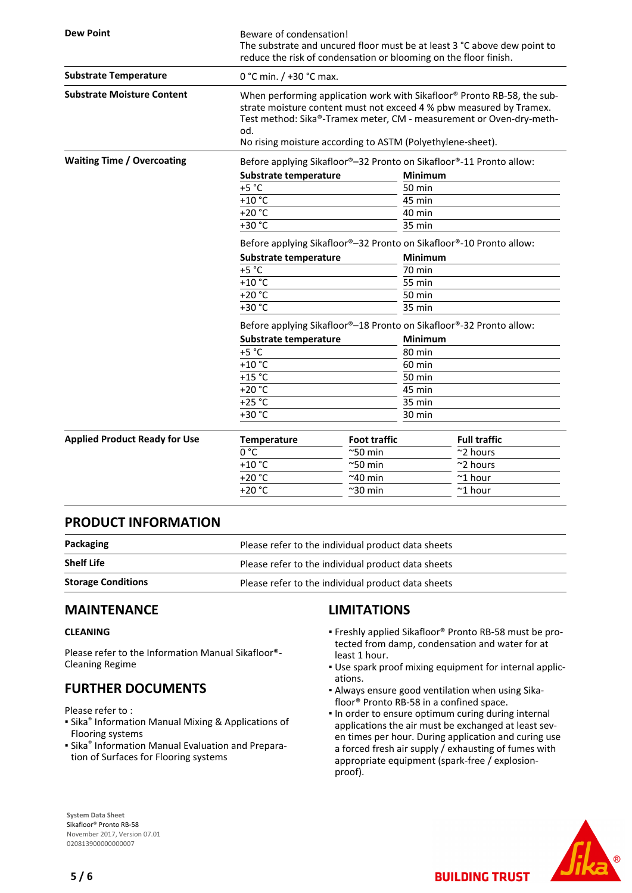| <b>Dew Point</b>                     | Beware of condensation!<br>The substrate and uncured floor must be at least 3 °C above dew point to<br>reduce the risk of condensation or blooming on the floor finish.                                                                                                                    |                     |                                                                     |  |  |
|--------------------------------------|--------------------------------------------------------------------------------------------------------------------------------------------------------------------------------------------------------------------------------------------------------------------------------------------|---------------------|---------------------------------------------------------------------|--|--|
| <b>Substrate Temperature</b>         | 0 °C min. / +30 °C max.                                                                                                                                                                                                                                                                    |                     |                                                                     |  |  |
| <b>Substrate Moisture Content</b>    | When performing application work with Sikafloor® Pronto RB-58, the sub-<br>strate moisture content must not exceed 4 % pbw measured by Tramex.<br>Test method: Sika®-Tramex meter, CM - measurement or Oven-dry-meth-<br>od.<br>No rising moisture according to ASTM (Polyethylene-sheet). |                     |                                                                     |  |  |
| <b>Waiting Time / Overcoating</b>    |                                                                                                                                                                                                                                                                                            |                     | Before applying Sikafloor®-32 Pronto on Sikafloor®-11 Pronto allow: |  |  |
|                                      | Substrate temperature                                                                                                                                                                                                                                                                      |                     | <b>Minimum</b>                                                      |  |  |
|                                      | $+5 °C$                                                                                                                                                                                                                                                                                    |                     | <b>50 min</b>                                                       |  |  |
|                                      | $+10$ °C                                                                                                                                                                                                                                                                                   |                     | 45 min                                                              |  |  |
|                                      | $+20 °C$                                                                                                                                                                                                                                                                                   |                     | 40 min                                                              |  |  |
|                                      | $+30 °C$                                                                                                                                                                                                                                                                                   |                     | 35 min                                                              |  |  |
|                                      | Before applying Sikafloor®-32 Pronto on Sikafloor®-10 Pronto allow:                                                                                                                                                                                                                        |                     |                                                                     |  |  |
|                                      | Substrate temperature                                                                                                                                                                                                                                                                      |                     | <b>Minimum</b>                                                      |  |  |
|                                      | $+5 °C$                                                                                                                                                                                                                                                                                    |                     | 70 min                                                              |  |  |
|                                      | $+10$ °C                                                                                                                                                                                                                                                                                   |                     | 55 min                                                              |  |  |
|                                      | $+20 °C$                                                                                                                                                                                                                                                                                   |                     | 50 min                                                              |  |  |
|                                      | +30 °C                                                                                                                                                                                                                                                                                     |                     | 35 min                                                              |  |  |
|                                      | Before applying Sikafloor®-18 Pronto on Sikafloor®-32 Pronto allow:                                                                                                                                                                                                                        |                     |                                                                     |  |  |
|                                      | Substrate temperature                                                                                                                                                                                                                                                                      |                     | Minimum                                                             |  |  |
|                                      | $+5 °C$                                                                                                                                                                                                                                                                                    |                     | 80 min                                                              |  |  |
|                                      | $+10$ °C                                                                                                                                                                                                                                                                                   |                     | 60 min                                                              |  |  |
|                                      | $+15$ °C                                                                                                                                                                                                                                                                                   |                     | <b>50 min</b>                                                       |  |  |
|                                      | $+20 °C$                                                                                                                                                                                                                                                                                   |                     | 45 min                                                              |  |  |
|                                      | +25 $°C$                                                                                                                                                                                                                                                                                   |                     | 35 min                                                              |  |  |
|                                      | $+30 °C$                                                                                                                                                                                                                                                                                   |                     | 30 min                                                              |  |  |
| <b>Applied Product Ready for Use</b> | <b>Temperature</b>                                                                                                                                                                                                                                                                         | <b>Foot traffic</b> | <b>Full traffic</b>                                                 |  |  |
|                                      | 0 °C                                                                                                                                                                                                                                                                                       | $^{\sim}$ 50 min    | ~2 hours                                                            |  |  |
|                                      | $+10$ °C                                                                                                                                                                                                                                                                                   | $^{\sim}$ 50 min    | ~2 hours                                                            |  |  |
|                                      | $+20 °C$                                                                                                                                                                                                                                                                                   | $~240$ min          | $~^{\sim}$ 1 hour                                                   |  |  |
|                                      | $+20 °C$                                                                                                                                                                                                                                                                                   | ~30 min             | $^\thicksim$ 1 hour                                                 |  |  |

## **PRODUCT INFORMATION**

| Packaging                 | Please refer to the individual product data sheets |
|---------------------------|----------------------------------------------------|
| <b>Shelf Life</b>         | Please refer to the individual product data sheets |
| <b>Storage Conditions</b> | Please refer to the individual product data sheets |

## **MAINTENANCE**

#### **CLEANING**

Please refer to the Information Manual Sikafloor®- Cleaning Regime

# **FURTHER DOCUMENTS**

Please refer to :

- **Sika<sup>®</sup> Information Manual Mixing & Applications of** Flooring systems
- **E** Sika<sup>®</sup> Information Manual Evaluation and Preparation of Surfaces for Flooring systems

# **LIMITATIONS**

- Freshly applied Sikafloor® Pronto RB-58 must be pro-▪ tected from damp, condensation and water for at least 1 hour.
- Use spark proof mixing equipment for internal applic-▪ ations.
- Always ensure good ventilation when using Sika-▪ floor® Pronto RB-58 in a confined space.
- . In order to ensure optimum curing during internal applications the air must be exchanged at least seven times per hour. During application and curing use a forced fresh air supply / exhausting of fumes with appropriate equipment (spark-free / explosionproof).

**BUILDING TRUST** 



**System Data Sheet** Sikafloor® Pronto RB-58 November 2017, Version 07.01 020813900000000007